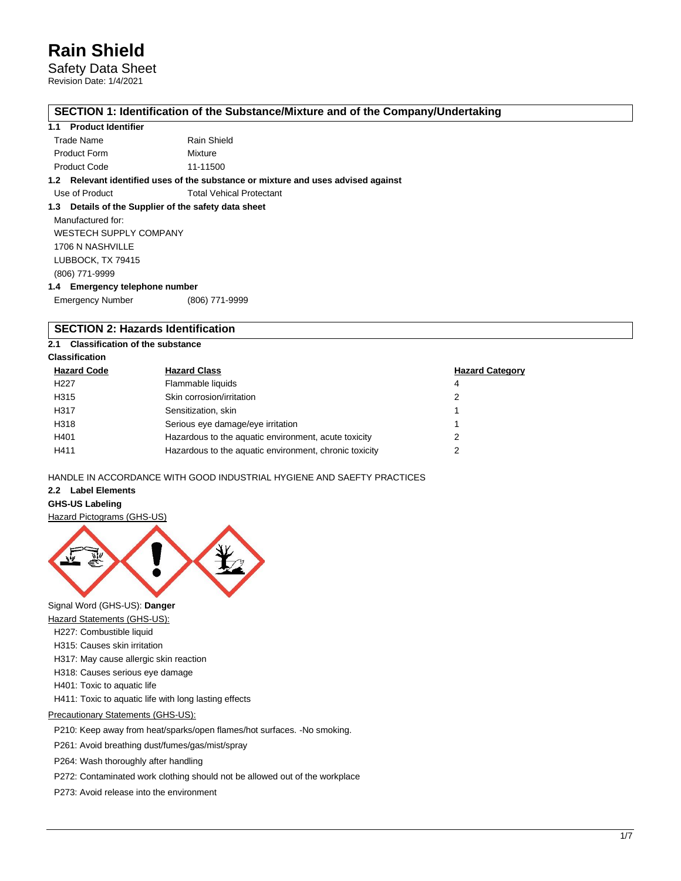Safety Data Sheet

Revision Date: 1/4/2021

## **SECTION 1: Identification of the Substance/Mixture and of the Company/Undertaking**

## **1.1 Product Identifier**

| $1.2\,$ |                     | Relevant identified uses of the substance or mixture and uses advised against |
|---------|---------------------|-------------------------------------------------------------------------------|
|         | <b>Product Code</b> | 11-11500                                                                      |
|         | <b>Product Form</b> | Mixture                                                                       |
|         | Trade Name          | Rain Shield                                                                   |

### Use of Product Total Vehical Protectant **1.3 Details of the Supplier of the safety data sheet**

| <b>U</b> Details Of the Supplier Of the S |
|-------------------------------------------|
| Manufactured for:                         |
| WESTECH SUPPLY COMPANY                    |
| 1706 N NASHVILLE                          |
| LUBBOCK, TX 79415                         |
| (806) 771-9999                            |
| 1.4 Emergency telephone number            |

| <b>Emergency Number</b> |  | (806) 771-9999 |
|-------------------------|--|----------------|

## **SECTION 2: Hazards Identification**

#### **2.1 Classification of the substance Classification**

| <b>Hazard Code</b> | <b>Hazard Class</b>                                    | <b>Hazard Category</b> |
|--------------------|--------------------------------------------------------|------------------------|
| H <sub>22</sub> 7  | Flammable liquids                                      | 4                      |
| H315               | Skin corrosion/irritation                              | 2                      |
| H317               | Sensitization, skin                                    |                        |
| H318               | Serious eye damage/eye irritation                      |                        |
| H401               | Hazardous to the aquatic environment, acute toxicity   | 2                      |
| H411               | Hazardous to the aquatic environment, chronic toxicity |                        |
|                    |                                                        |                        |

HANDLE IN ACCORDANCE WITH GOOD INDUSTRIAL HYGIENE AND SAEFTY PRACTICES

## **2.2 Label Elements**

## **GHS-US Labeling**

Hazard Pictograms (GHS-US)



Signal Word (GHS-US): **Danger**

- **Hazard Statements (GHS-US):**
- H227: Combustible liquid
- H315: Causes skin irritation
- H317: May cause allergic skin reaction H318: Causes serious eye damage
- 
- H401: Toxic to aquatic life
- H411: Toxic to aquatic life with long lasting effects

Precautionary Statements (GHS-US):

P210: Keep away from heat/sparks/open flames/hot surfaces. -No smoking.

P261: Avoid breathing dust/fumes/gas/mist/spray

P264: Wash thoroughly after handling

P272: Contaminated work clothing should not be allowed out of the workplace

P273: Avoid release into the environment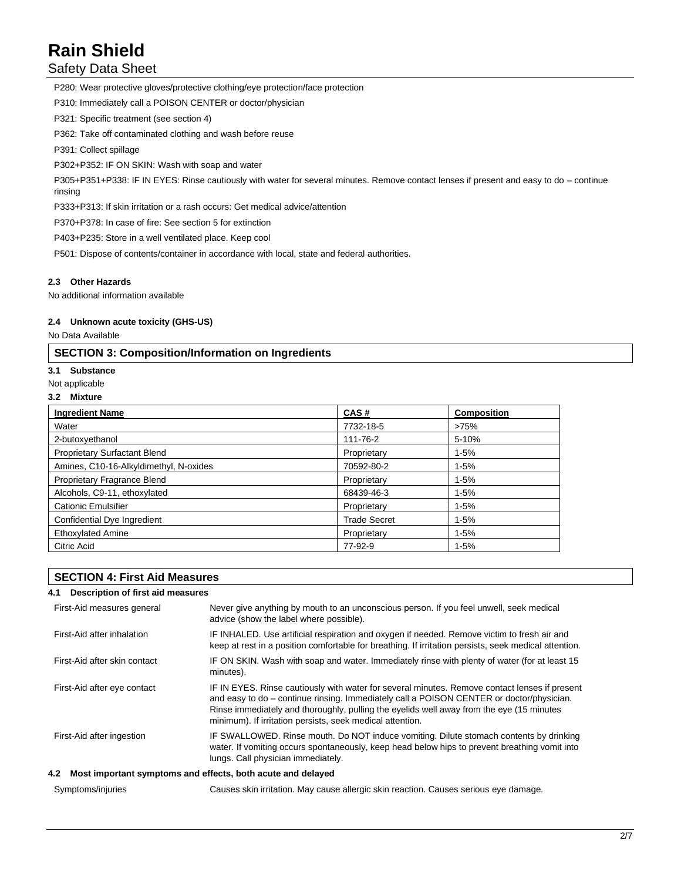## Safety Data Sheet

P280: Wear protective gloves/protective clothing/eye protection/face protection

P310: Immediately call a POISON CENTER or doctor/physician

P321: Specific treatment (see section 4)

P362: Take off contaminated clothing and wash before reuse

P391: Collect spillage

P302+P352: IF ON SKIN: Wash with soap and water

P305+P351+P338: IF IN EYES: Rinse cautiously with water for several minutes. Remove contact lenses if present and easy to do – continue rinsing

P333+P313: If skin irritation or a rash occurs: Get medical advice/attention

P370+P378: In case of fire: See section 5 for extinction

P403+P235: Store in a well ventilated place. Keep cool

P501: Dispose of contents/container in accordance with local, state and federal authorities.

## **2.3 Other Hazards**

No additional information available

## **2.4 Unknown acute toxicity (GHS-US)**

No Data Available

## **SECTION 3: Composition/Information on Ingredients**

### **3.1 Substance**

- Not applicable
- **3.2 Mixture**

| <b>Ingredient Name</b>                 | CAS#                | <b>Composition</b> |
|----------------------------------------|---------------------|--------------------|
| Water                                  | 7732-18-5           | >75%               |
| 2-butoxyethanol                        | 111-76-2            | 5-10%              |
| <b>Proprietary Surfactant Blend</b>    | Proprietary         | $1 - 5%$           |
| Amines, C10-16-Alkyldimethyl, N-oxides | 70592-80-2          | $1-5%$             |
| Proprietary Fragrance Blend            | Proprietary         | $1 - 5%$           |
| Alcohols, C9-11, ethoxylated           | 68439-46-3          | $1 - 5%$           |
| <b>Cationic Emulsifier</b>             | Proprietary         | $1 - 5%$           |
| Confidential Dye Ingredient            | <b>Trade Secret</b> | $1 - 5%$           |
| <b>Ethoxylated Amine</b>               | Proprietary         | $1 - 5%$           |
| Citric Acid                            | 77-92-9             | $1 - 5%$           |

## **SECTION 4: First Aid Measures**

#### **4.1 Description of first aid measures**

| First-Aid measures general                                      | Never give anything by mouth to an unconscious person. If you feel unwell, seek medical<br>advice (show the label where possible).                                                                                                                                                                                                                 |  |  |
|-----------------------------------------------------------------|----------------------------------------------------------------------------------------------------------------------------------------------------------------------------------------------------------------------------------------------------------------------------------------------------------------------------------------------------|--|--|
| First-Aid after inhalation                                      | IF INHALED. Use artificial respiration and oxygen if needed. Remove victim to fresh air and<br>keep at rest in a position comfortable for breathing. If irritation persists, seek medical attention.                                                                                                                                               |  |  |
| First-Aid after skin contact                                    | IF ON SKIN. Wash with soap and water. Immediately rinse with plenty of water (for at least 15<br>minutes).                                                                                                                                                                                                                                         |  |  |
| First-Aid after eye contact                                     | IF IN EYES. Rinse cautiously with water for several minutes. Remove contact lenses if present<br>and easy to do – continue rinsing. Immediately call a POISON CENTER or doctor/physician.<br>Rinse immediately and thoroughly, pulling the eyelids well away from the eye (15 minutes<br>minimum). If irritation persists, seek medical attention. |  |  |
| First-Aid after ingestion                                       | IF SWALLOWED. Rinse mouth. Do NOT induce vomiting. Dilute stomach contents by drinking<br>water. If vomiting occurs spontaneously, keep head below hips to prevent breathing vomit into<br>lungs. Call physician immediately.                                                                                                                      |  |  |
| 4.2 Most important symptoms and effects, both acute and delayed |                                                                                                                                                                                                                                                                                                                                                    |  |  |

Symptoms/injuries Causes skin irritation. May cause allergic skin reaction. Causes serious eye damage.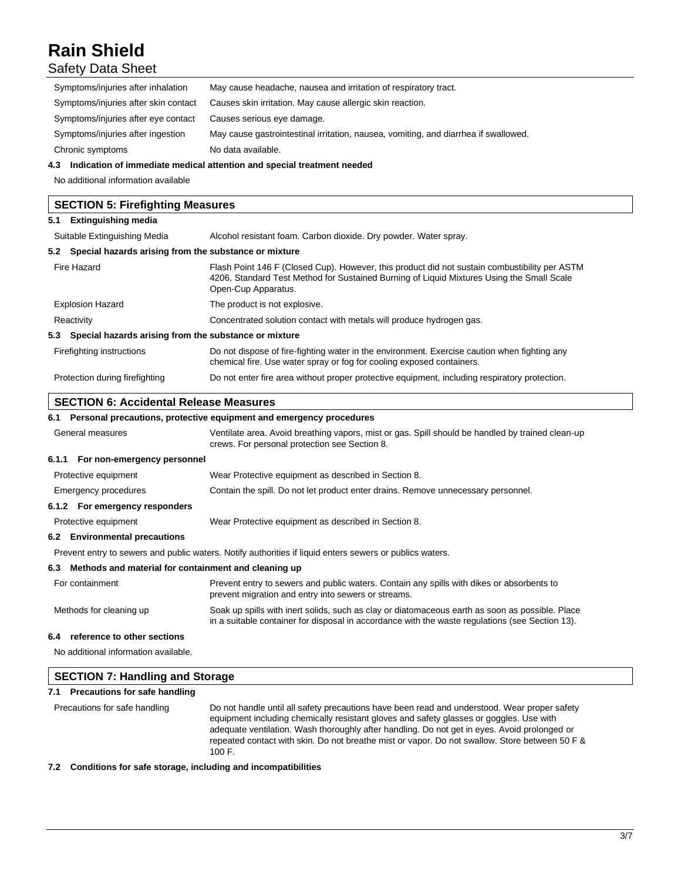## Safety Data Sheet

| Symptoms/injuries after inhalation   | May cause headache, nausea and irritation of respiratory tract.                     |
|--------------------------------------|-------------------------------------------------------------------------------------|
| Symptoms/injuries after skin contact | Causes skin irritation. May cause allergic skin reaction.                           |
| Symptoms/injuries after eye contact  | Causes serious eye damage.                                                          |
| Symptoms/injuries after ingestion    | May cause gastrointestinal irritation, nausea, vomiting, and diarrhea if swallowed. |
| Chronic symptoms                     | No data available.                                                                  |

## **4.3 Indication of immediate medical attention and special treatment needed**

No additional information available

## **SECTION 5: Firefighting Measures**

## **5.1 Extinguishing media**

| Suitable Extinguishing Media                              | Alcohol resistant foam. Carbon dioxide. Dry powder. Water spray.                                                                                                                                                  |  |  |
|-----------------------------------------------------------|-------------------------------------------------------------------------------------------------------------------------------------------------------------------------------------------------------------------|--|--|
| 5.2 Special hazards arising from the substance or mixture |                                                                                                                                                                                                                   |  |  |
| Fire Hazard                                               | Flash Point 146 F (Closed Cup). However, this product did not sustain combustibility per ASTM<br>4206, Standard Test Method for Sustained Burning of Liquid Mixtures Using the Small Scale<br>Open-Cup Apparatus. |  |  |
| <b>Explosion Hazard</b>                                   | The product is not explosive.                                                                                                                                                                                     |  |  |
| Reactivity                                                | Concentrated solution contact with metals will produce hydrogen gas.                                                                                                                                              |  |  |
| 5.3 Special hazards arising from the substance or mixture |                                                                                                                                                                                                                   |  |  |
| Firefighting instructions                                 | Do not dispose of fire-fighting water in the environment. Exercise caution when fighting any<br>chemical fire. Use water spray or fog for cooling exposed containers.                                             |  |  |

Protection during firefighting Do not enter fire area without proper protective equipment, including respiratory protection.

## **SECTION 6: Accidental Release Measures**

|                                                          | 6.1 Personal precautions, protective equipment and emergency procedures                                                                                                                            |  |  |
|----------------------------------------------------------|----------------------------------------------------------------------------------------------------------------------------------------------------------------------------------------------------|--|--|
| General measures                                         | Ventilate area. Avoid breathing vapors, mist or gas. Spill should be handled by trained clean-up<br>crews. For personal protection see Section 8.                                                  |  |  |
| 6.1.1 For non-emergency personnel                        |                                                                                                                                                                                                    |  |  |
| Protective equipment                                     | Wear Protective equipment as described in Section 8.                                                                                                                                               |  |  |
| Emergency procedures                                     | Contain the spill. Do not let product enter drains. Remove unnecessary personnel.                                                                                                                  |  |  |
| 6.1.2 For emergency responders                           |                                                                                                                                                                                                    |  |  |
| Protective equipment                                     | Wear Protective equipment as described in Section 8.                                                                                                                                               |  |  |
| 6.2 Environmental precautions                            |                                                                                                                                                                                                    |  |  |
|                                                          | Prevent entry to sewers and public waters. Notify authorities if liquid enters sewers or publics waters.                                                                                           |  |  |
| 6.3 Methods and material for containment and cleaning up |                                                                                                                                                                                                    |  |  |
| For containment                                          | Prevent entry to sewers and public waters. Contain any spills with dikes or absorbents to<br>prevent migration and entry into sewers or streams.                                                   |  |  |
| Methods for cleaning up                                  | Soak up spills with inert solids, such as clay or diatomaceous earth as soon as possible. Place<br>in a suitable container for disposal in accordance with the waste regulations (see Section 13). |  |  |
| 6.4 reference to other sections                          |                                                                                                                                                                                                    |  |  |
| No additional information available.                     |                                                                                                                                                                                                    |  |  |

## **SECTION 7: Handling and Storage 7.1 Precautions for safe handling** Precautions for safe handling Do not handle until all safety precautions have been read and understood. Wear proper safety equipment including chemically resistant gloves and safety glasses or goggles. Use with adequate ventilation. Wash thoroughly after handling. Do not get in eyes. Avoid prolonged or repeated contact with skin. Do not breathe mist or vapor. Do not swallow. Store between 50 F & 100 F.

### **7.2 Conditions for safe storage, including and incompatibilities**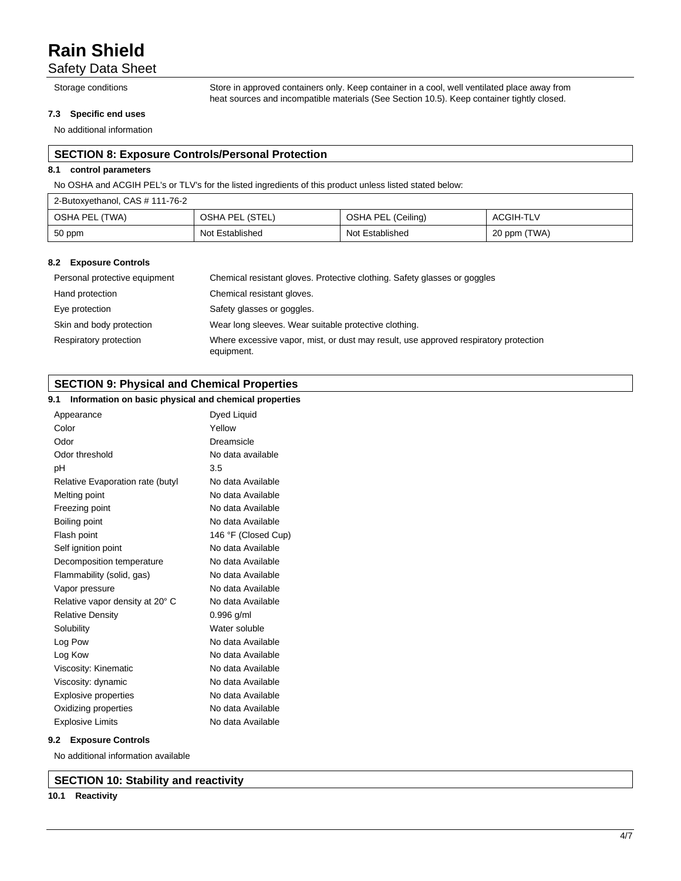Safety Data Sheet

Storage conditions Store in approved containers only. Keep container in a cool, well ventilated place away from heat sources and incompatible materials (See Section 10.5). Keep container tightly closed.

## **7.3 Specific end uses**

No additional information

## **SECTION 8: Exposure Controls/Personal Protection**

## **8.1 control parameters**

r

No OSHA and ACGIH PEL's or TLV's for the listed ingredients of this product unless listed stated below:

| 2-Butoxyethanol, CAS # 111-76-2 |                 |                    |                  |
|---------------------------------|-----------------|--------------------|------------------|
| OSHA PEL (TWA)                  | OSHA PEL (STEL) | OSHA PEL (Ceiling) | <b>ACGIH-TLV</b> |
| 50 ppm                          | Not Established | Not Established    | 20 ppm (TWA)     |

### **8.2 Exposure Controls**

| Personal protective equipment | Chemical resistant gloves. Protective clothing. Safety glasses or goggles                          |
|-------------------------------|----------------------------------------------------------------------------------------------------|
| Hand protection               | Chemical resistant gloves.                                                                         |
| Eye protection                | Safety glasses or goggles.                                                                         |
| Skin and body protection      | Wear long sleeves. Wear suitable protective clothing.                                              |
| Respiratory protection        | Where excessive vapor, mist, or dust may result, use approved respiratory protection<br>equipment. |

## **SECTION 9: Physical and Chemical Properties**

## **9.1 Information on basic physical and chemical properties**

| <b>Example the U.S. David Privated and Chemical properties</b> |
|----------------------------------------------------------------|
| Dyed Liquid                                                    |
| Yellow                                                         |
| Dreamsicle                                                     |
| No data available                                              |
| 3.5                                                            |
| No data Available                                              |
| No data Available                                              |
| No data Available                                              |
| No data Available                                              |
| 146 °F (Closed Cup)                                            |
| No data Available                                              |
| No data Available                                              |
| No data Available                                              |
| No data Available                                              |
| No data Available                                              |
| $0.996$ g/ml                                                   |
| Water soluble                                                  |
| No data Available                                              |
| No data Available                                              |
| No data Available                                              |
| No data Available                                              |
| No data Available                                              |
| No data Available                                              |
| No data Available                                              |
|                                                                |

## **9.2 Exposure Controls**

No additional information available

**SECTION 10: Stability and reactivity**

## **10.1 Reactivity**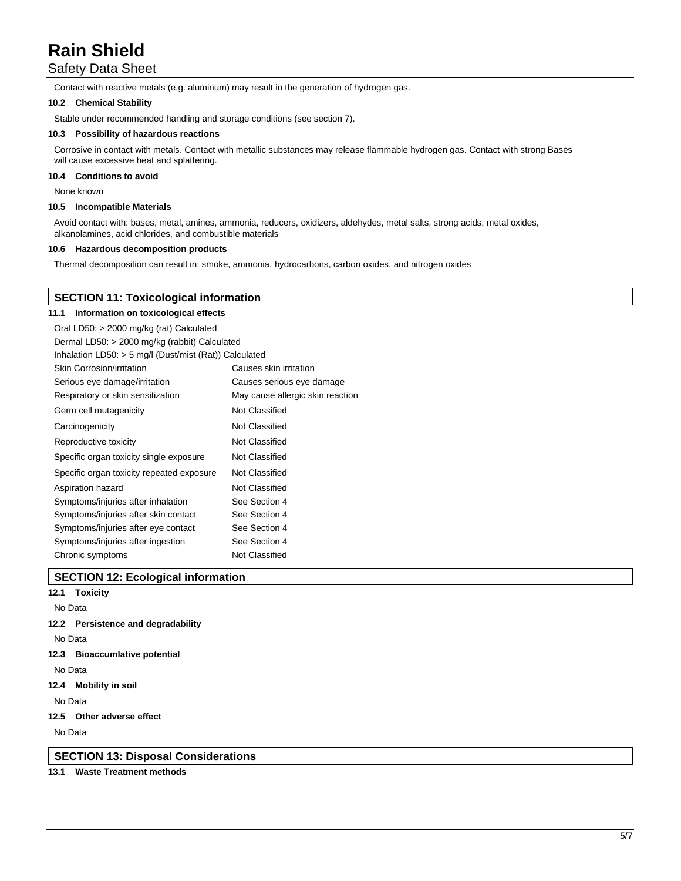## Safety Data Sheet

Contact with reactive metals (e.g. aluminum) may result in the generation of hydrogen gas.

### **10.2 Chemical Stability**

Stable under recommended handling and storage conditions (see section 7).

### **10.3 Possibility of hazardous reactions**

Corrosive in contact with metals. Contact with metallic substances may release flammable hydrogen gas. Contact with strong Bases will cause excessive heat and splattering.

#### **10.4 Conditions to avoid**

None known

#### **10.5 Incompatible Materials**

Avoid contact with: bases, metal, amines, ammonia, reducers, oxidizers, aldehydes, metal salts, strong acids, metal oxides, alkanolamines, acid chlorides, and combustible materials

#### **10.6 Hazardous decomposition products**

Thermal decomposition can result in: smoke, ammonia, hydrocarbons, carbon oxides, and nitrogen oxides

## **SECTION 11: Toxicological information**

#### **11.1 Information on toxicological effects**

| Oral LD50: > 2000 mg/kg (rat) Calculated                 |                                  |  |
|----------------------------------------------------------|----------------------------------|--|
| Dermal LD50: > 2000 mg/kg (rabbit) Calculated            |                                  |  |
| Inhalation LD50: $>$ 5 mg/l (Dust/mist (Rat)) Calculated |                                  |  |
| Skin Corrosion/irritation                                | Causes skin irritation           |  |
| Serious eye damage/irritation                            | Causes serious eye damage        |  |
| Respiratory or skin sensitization                        | May cause allergic skin reaction |  |
| Germ cell mutagenicity                                   | Not Classified                   |  |
| Carcinogenicity                                          | Not Classified                   |  |
| Reproductive toxicity                                    | Not Classified                   |  |
| Specific organ toxicity single exposure                  | Not Classified                   |  |
| Specific organ toxicity repeated exposure                | Not Classified                   |  |
| Aspiration hazard                                        | Not Classified                   |  |
| Symptoms/injuries after inhalation                       | See Section 4                    |  |
| Symptoms/injuries after skin contact                     | See Section 4                    |  |
| Symptoms/injuries after eye contact                      | See Section 4                    |  |
| Symptoms/injuries after ingestion                        | See Section 4                    |  |
| Chronic symptoms                                         | Not Classified                   |  |

## **SECTION 12: Ecological information**

- **12.1 Toxicity**
- No Data
- **12.2 Persistence and degradability**
- No Data
- **12.3 Bioaccumlative potential**

No Data

**12.4 Mobility in soil**

No Data

**12.5 Other adverse effect**

No Data

**SECTION 13: Disposal Considerations**

## **13.1 Waste Treatment methods**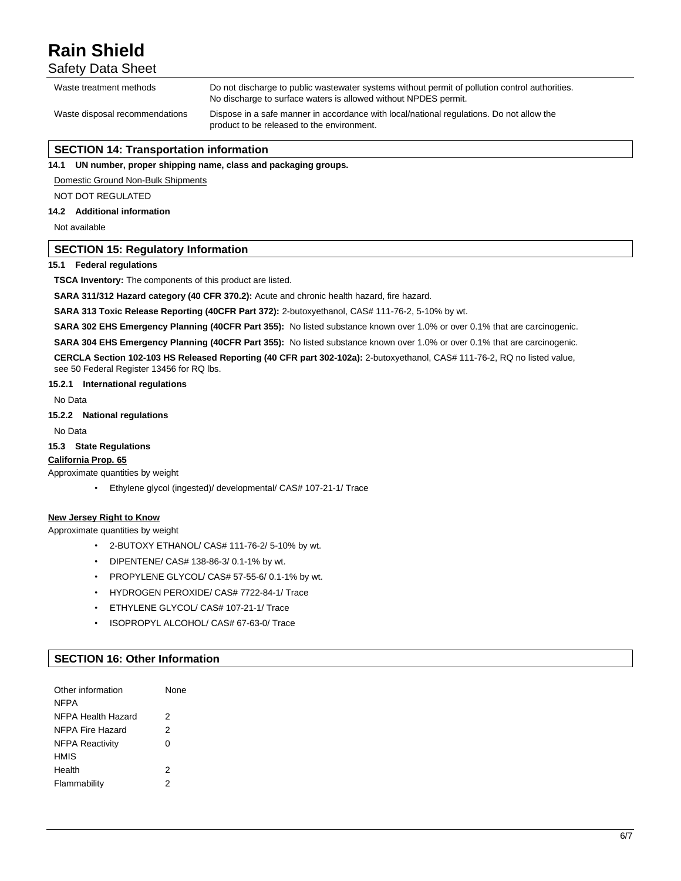Safety Data Sheet

| Waste treatment methods        | Do not discharge to public wastewater systems without permit of pollution control authorities.<br>No discharge to surface waters is allowed without NPDES permit. |
|--------------------------------|-------------------------------------------------------------------------------------------------------------------------------------------------------------------|
| Waste disposal recommendations | Dispose in a safe manner in accordance with local/national regulations. Do not allow the<br>product to be released to the environment.                            |

## **SECTION 14: Transportation information**

**14.1 UN number, proper shipping name, class and packaging groups.**

Domestic Ground Non-Bulk Shipments

NOT DOT REGULATED

## **14.2 Additional information**

Not available

## **SECTION 15: Regulatory Information**

### **15.1 Federal regulations**

**TSCA Inventory:** The components of this product are listed.

**SARA 311/312 Hazard category (40 CFR 370.2):** Acute and chronic health hazard, fire hazard.

**SARA 313 Toxic Release Reporting (40CFR Part 372):** 2-butoxyethanol, CAS# 111-76-2, 5-10% by wt.

**SARA 302 EHS Emergency Planning (40CFR Part 355):** No listed substance known over 1.0% or over 0.1% that are carcinogenic.

**SARA 304 EHS Emergency Planning (40CFR Part 355):** No listed substance known over 1.0% or over 0.1% that are carcinogenic.

**CERCLA Section 102-103 HS Released Reporting (40 CFR part 302-102a):** 2-butoxyethanol, CAS# 111-76-2, RQ no listed value, see 50 Federal Register 13456 for RQ lbs.

**15.2.1 International regulations**

No Data

**15.2.2 National regulations**

No Data

## **15.3 State Regulations**

## **California Prop. 65**

Approximate quantities by weight

• Ethylene glycol (ingested)/ developmental/ CAS# 107-21-1/ Trace

## **New Jersey Right to Know**

Approximate quantities by weight

- 2-BUTOXY ETHANOL/ CAS# 111-76-2/ 5-10% by wt.
- DIPENTENE/ CAS# 138-86-3/ 0.1-1% by wt.
- PROPYLENE GLYCOL/ CAS# 57-55-6/ 0.1-1% by wt.
- HYDROGEN PEROXIDE/ CAS# 7722-84-1/ Trace
- ETHYLENE GLYCOL/ CAS# 107-21-1/ Trace
- ISOPROPYL ALCOHOL/ CAS# 67-63-0/ Trace

## **SECTION 16: Other Information**

| Other information      | None     |
|------------------------|----------|
| <b>NFPA</b>            |          |
| NFPA Health Hazard     | 2        |
| NFPA Fire Hazard       | 2        |
| <b>NFPA Reactivity</b> | $\Omega$ |
| <b>HMIS</b>            |          |
| Health                 | 2        |
| Flammability           | 2        |